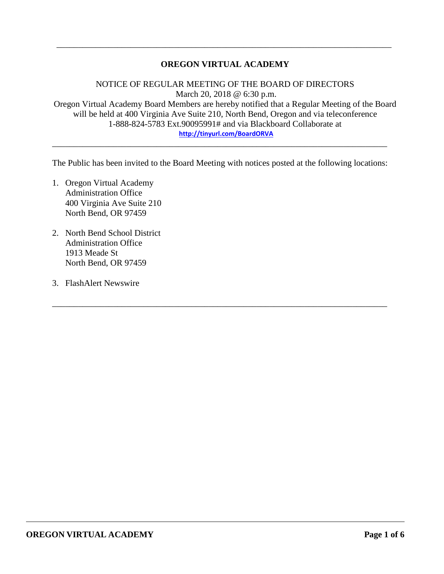## **OREGON VIRTUAL ACADEMY**

\_\_\_\_\_\_\_\_\_\_\_\_\_\_\_\_\_\_\_\_\_\_\_\_\_\_\_\_\_\_\_\_\_\_\_\_\_\_\_\_\_\_\_\_\_\_\_\_\_\_\_\_\_\_\_\_\_\_\_\_\_\_\_\_\_\_\_\_\_\_\_\_\_\_\_\_\_

NOTICE OF REGULAR MEETING OF THE BOARD OF DIRECTORS March 20, 2018 @ 6:30 p.m. Oregon Virtual Academy Board Members are hereby notified that a Regular Meeting of the Board will be held at 400 Virginia Ave Suite 210, North Bend, Oregon and via teleconference 1-888-824-5783 Ext.90095991# and via Blackboard Collaborate at **<http://tinyurl.com/BoardORVA>**

The Public has been invited to the Board Meeting with notices posted at the following locations:

\_\_\_\_\_\_\_\_\_\_\_\_\_\_\_\_\_\_\_\_\_\_\_\_\_\_\_\_\_\_\_\_\_\_\_\_\_\_\_\_\_\_\_\_\_\_\_\_\_\_\_\_\_\_\_\_\_\_\_\_\_\_\_\_\_\_\_\_\_\_\_\_\_\_\_\_\_

\_\_\_\_\_\_\_\_\_\_\_\_\_\_\_\_\_\_\_\_\_\_\_\_\_\_\_\_\_\_\_\_\_\_\_\_\_\_\_\_\_\_\_\_\_\_\_\_\_\_\_\_\_\_\_\_\_\_\_\_\_\_\_\_\_\_\_\_\_\_\_\_\_\_\_\_\_

- 1. Oregon Virtual Academy Administration Office 400 Virginia Ave Suite 210 North Bend, OR 97459
- 2. North Bend School District Administration Office 1913 Meade St North Bend, OR 97459
- 3. FlashAlert Newswire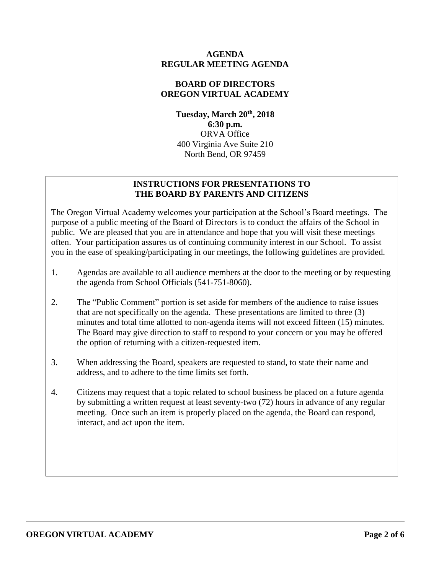### **AGENDA REGULAR MEETING AGENDA**

## **BOARD OF DIRECTORS OREGON VIRTUAL ACADEMY**

**Tuesday, March 20th , 2018 6:30 p.m.** ORVA Office 400 Virginia Ave Suite 210 North Bend, OR 97459

## **INSTRUCTIONS FOR PRESENTATIONS TO THE BOARD BY PARENTS AND CITIZENS**

The Oregon Virtual Academy welcomes your participation at the School's Board meetings. The purpose of a public meeting of the Board of Directors is to conduct the affairs of the School in public. We are pleased that you are in attendance and hope that you will visit these meetings often. Your participation assures us of continuing community interest in our School. To assist you in the ease of speaking/participating in our meetings, the following guidelines are provided.

- 1. Agendas are available to all audience members at the door to the meeting or by requesting the agenda from School Officials (541-751-8060).
- 2. The "Public Comment" portion is set aside for members of the audience to raise issues that are not specifically on the agenda. These presentations are limited to three (3) minutes and total time allotted to non-agenda items will not exceed fifteen (15) minutes. The Board may give direction to staff to respond to your concern or you may be offered the option of returning with a citizen-requested item.
- 3. When addressing the Board, speakers are requested to stand, to state their name and address, and to adhere to the time limits set forth.
- 4. Citizens may request that a topic related to school business be placed on a future agenda by submitting a written request at least seventy-two (72) hours in advance of any regular meeting. Once such an item is properly placed on the agenda, the Board can respond, interact, and act upon the item.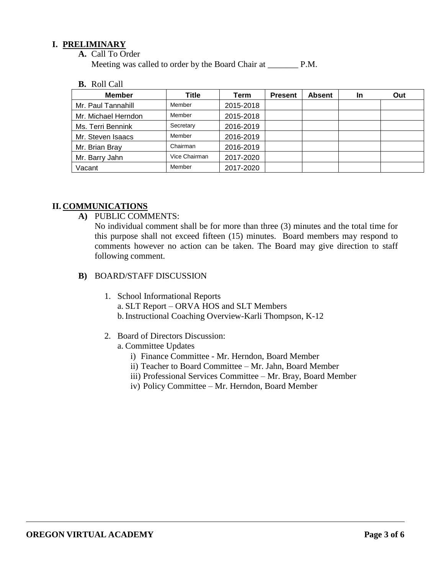### **I. PRELIMINARY**

**A.** Call To Order

Meeting was called to order by the Board Chair at P.M.

**B.** Roll Call

| <b>Member</b>       | Title         | Term      | <b>Present</b> | <b>Absent</b> | In | Out |
|---------------------|---------------|-----------|----------------|---------------|----|-----|
| Mr. Paul Tannahill  | Member        | 2015-2018 |                |               |    |     |
| Mr. Michael Herndon | Member        | 2015-2018 |                |               |    |     |
| Ms. Terri Bennink   | Secretary     | 2016-2019 |                |               |    |     |
| Mr. Steven Isaacs   | Member        | 2016-2019 |                |               |    |     |
| Mr. Brian Bray      | Chairman      | 2016-2019 |                |               |    |     |
| Mr. Barry Jahn      | Vice Chairman | 2017-2020 |                |               |    |     |
| Vacant              | Member        | 2017-2020 |                |               |    |     |

### **II. COMMUNICATIONS**

**A)** PUBLIC COMMENTS:

No individual comment shall be for more than three (3) minutes and the total time for this purpose shall not exceed fifteen (15) minutes. Board members may respond to comments however no action can be taken. The Board may give direction to staff following comment.

- **B)** BOARD/STAFF DISCUSSION
	- 1. School Informational Reports a. SLT Report – ORVA HOS and SLT Members b.Instructional Coaching Overview-Karli Thompson, K-12
	- 2. Board of Directors Discussion:
		- a. Committee Updates
			- i) Finance Committee Mr. Herndon, Board Member
			- ii) Teacher to Board Committee Mr. Jahn, Board Member
			- iii) Professional Services Committee Mr. Bray, Board Member
			- iv) Policy Committee Mr. Herndon, Board Member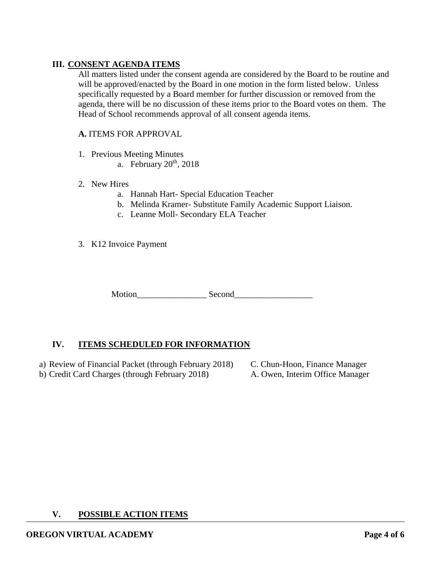## **III. CONSENT AGENDA ITEMS**

All matters listed under the consent agenda are considered by the Board to be routine and will be approved/enacted by the Board in one motion in the form listed below. Unless specifically requested by a Board member for further discussion or removed from the agenda, there will be no discussion of these items prior to the Board votes on them. The Head of School recommends approval of all consent agenda items.

#### **A.** ITEMS FOR APPROVAL

- 1. Previous Meeting Minutes
	- a. February  $20<sup>th</sup>$ ,  $2018$

#### 2. New Hires

- a. Hannah Hart- Special Education Teacher
- b. Melinda Kramer- Substitute Family Academic Support Liaison.
- c. Leanne Moll- Secondary ELA Teacher
- 3. K12 Invoice Payment

Motion Second

## **IV. ITEMS SCHEDULED FOR INFORMATION**

a) Review of Financial Packet (through February 2018) C. Chun-Hoon, Finance Manager b) Credit Card Charges (through February 2018) A. Owen, Interim Office Manager

#### **V. POSSIBLE ACTION ITEMS**

# **OREGON VIRTUAL ACADEMY Page 4 of 6**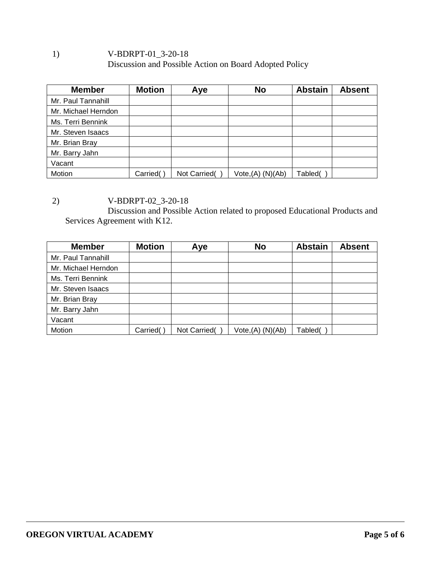## 1) V-BDRPT-01\_3-20-18 Discussion and Possible Action on Board Adopted Policy

| <b>Member</b>       | <b>Motion</b> | Aye          | <b>No</b>            | <b>Abstain</b> | <b>Absent</b> |
|---------------------|---------------|--------------|----------------------|----------------|---------------|
| Mr. Paul Tannahill  |               |              |                      |                |               |
| Mr. Michael Herndon |               |              |                      |                |               |
| Ms. Terri Bennink   |               |              |                      |                |               |
| Mr. Steven Isaacs   |               |              |                      |                |               |
| Mr. Brian Bray      |               |              |                      |                |               |
| Mr. Barry Jahn      |               |              |                      |                |               |
| Vacant              |               |              |                      |                |               |
| Motion              | Carried(      | Not Carried( | $Vote,(A)$ $(N)(Ab)$ | Tabled(        |               |

2) V-BDRPT-02\_3-20-18

Discussion and Possible Action related to proposed Educational Products and Services Agreement with K12.

| <b>Member</b>       | <b>Motion</b> | Aye          | <b>No</b>         | <b>Abstain</b> | <b>Absent</b> |
|---------------------|---------------|--------------|-------------------|----------------|---------------|
| Mr. Paul Tannahill  |               |              |                   |                |               |
| Mr. Michael Herndon |               |              |                   |                |               |
| Ms. Terri Bennink   |               |              |                   |                |               |
| Mr. Steven Isaacs   |               |              |                   |                |               |
| Mr. Brian Bray      |               |              |                   |                |               |
| Mr. Barry Jahn      |               |              |                   |                |               |
| Vacant              |               |              |                   |                |               |
| Motion              | Carried(      | Not Carried( | Vote, (A) (N)(Ab) | Tabled(        |               |